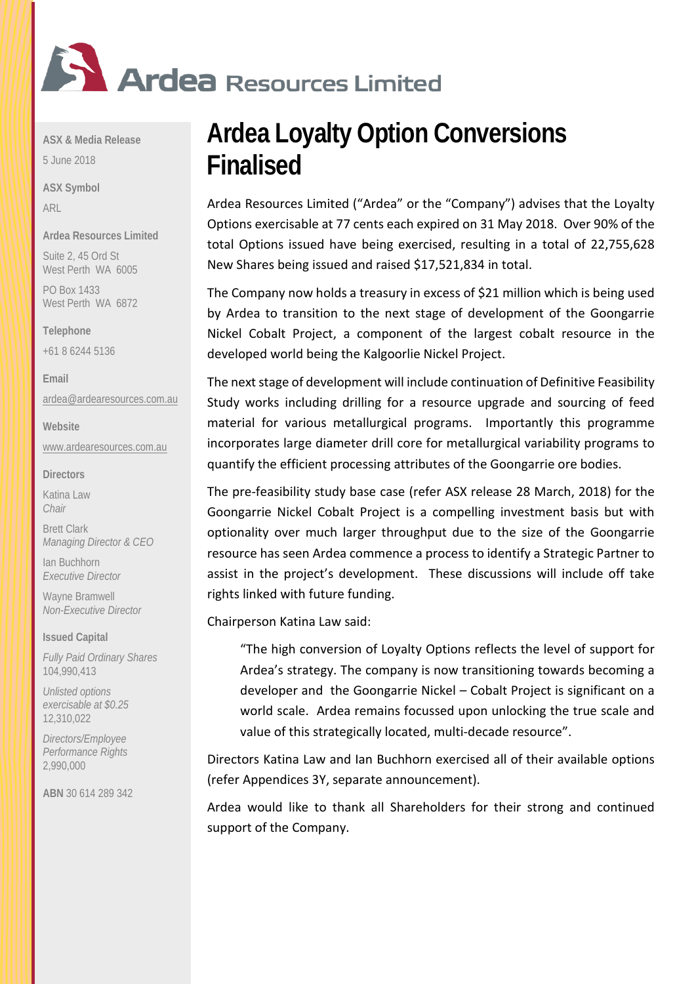

**ASX & Media Release**

5 June 2018

**ASX Symbol** ARL

**Ardea Resources Limited**

Suite 2, 45 Ord St West Perth WA 6005

PO Box 1433 West Perth WA 6872

**Telephone** 

+61 8 6244 5136

**Email** [ardea@ardearesources.com.au](mailto:ardea@ardearesources.com.au)

**Website** [www.ardearesources.com.au](http://www.ardearesources.com.au/)

**Directors**

Katina Law *Chair*

Brett Clark *Managing Director & CEO*

Ian Buchhorn *Executive Director*

Wayne Bramwell *Non-Executive Director*

**Issued Capital**

*Fully Paid Ordinary Shares* 104,990,413

*Unlisted options exercisable at \$0.25* 12,310,022

*Directors/Employee Performance Rights* 2,990,000

**ABN** 30 614 289 342

## **Ardea Loyalty Option Conversions Finalised**

Ardea Resources Limited ("Ardea" or the "Company") advises that the Loyalty Options exercisable at 77 cents each expired on 31 May 2018. Over 90% of the total Options issued have being exercised, resulting in a total of 22,755,628 New Shares being issued and raised \$17,521,834 in total.

The Company now holds a treasury in excess of \$21 million which is being used by Ardea to transition to the next stage of development of the Goongarrie Nickel Cobalt Project, a component of the largest cobalt resource in the developed world being the Kalgoorlie Nickel Project.

The next stage of development will include continuation of Definitive Feasibility Study works including drilling for a resource upgrade and sourcing of feed material for various metallurgical programs. Importantly this programme incorporates large diameter drill core for metallurgical variability programs to quantify the efficient processing attributes of the Goongarrie ore bodies.

The pre-feasibility study base case (refer ASX release 28 March, 2018) for the Goongarrie Nickel Cobalt Project is a compelling investment basis but with optionality over much larger throughput due to the size of the Goongarrie resource has seen Ardea commence a process to identify a Strategic Partner to assist in the project's development. These discussions will include off take rights linked with future funding.

Chairperson Katina Law said:

"The high conversion of Loyalty Options reflects the level of support for Ardea's strategy. The company is now transitioning towards becoming a developer and the Goongarrie Nickel – Cobalt Project is significant on a world scale. Ardea remains focussed upon unlocking the true scale and value of this strategically located, multi-decade resource".

Directors Katina Law and Ian Buchhorn exercised all of their available options (refer Appendices 3Y, separate announcement).

Ardea would like to thank all Shareholders for their strong and continued support of the Company.